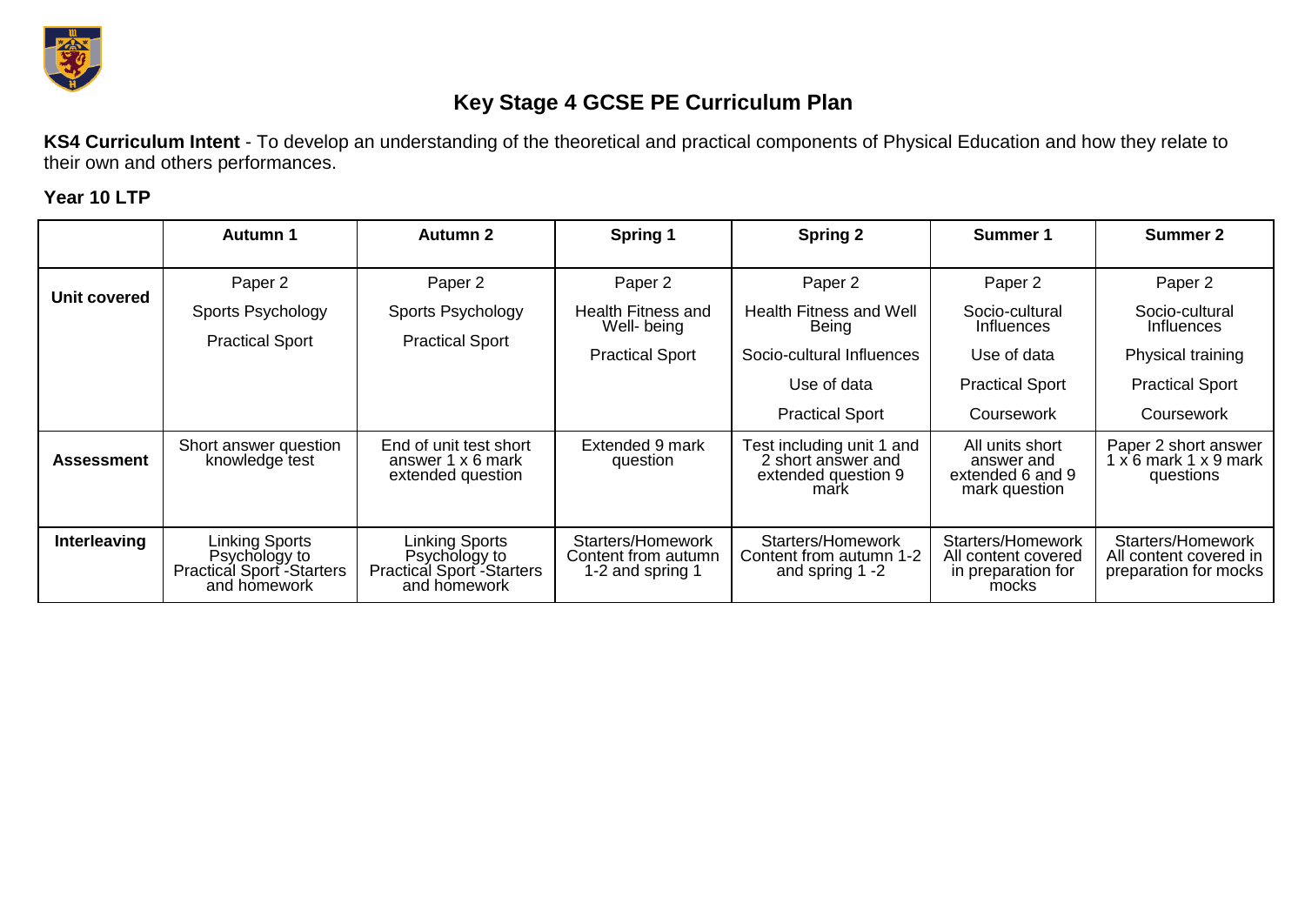

## **Key Stage 4 GCSE PE Curriculum Plan**

**KS4 Curriculum Intent** - To develop an understanding of the theoretical and practical components of Physical Education and how they relate to their own and others performances.

## **Year 10 LTP**

|                     | <b>Autumn 1</b>                                                                      | <b>Autumn 2</b>                                                                          | Spring 1                                                     | <b>Spring 2</b>                                                                | Summer 1                                                                | <b>Summer 2</b>                                                          |
|---------------------|--------------------------------------------------------------------------------------|------------------------------------------------------------------------------------------|--------------------------------------------------------------|--------------------------------------------------------------------------------|-------------------------------------------------------------------------|--------------------------------------------------------------------------|
|                     | Paper 2                                                                              | Paper 2                                                                                  | Paper 2                                                      | Paper 2                                                                        | Paper 2                                                                 | Paper 2                                                                  |
| <b>Unit covered</b> | Sports Psychology                                                                    | Sports Psychology                                                                        | <b>Health Fitness and</b><br>Well- being                     | Health Fitness and Well<br>Being                                               | Socio-cultural<br>Influences                                            | Socio-cultural<br><b>Influences</b>                                      |
|                     | <b>Practical Sport</b>                                                               | <b>Practical Sport</b>                                                                   | <b>Practical Sport</b>                                       | Socio-cultural Influences                                                      | Use of data                                                             | Physical training                                                        |
|                     |                                                                                      |                                                                                          |                                                              | Use of data                                                                    | <b>Practical Sport</b>                                                  | <b>Practical Sport</b>                                                   |
|                     |                                                                                      |                                                                                          |                                                              | <b>Practical Sport</b>                                                         | Coursework                                                              | Coursework                                                               |
| <b>Assessment</b>   | Short answer question<br>knowledge test                                              | End of unit test short<br>answer 1 x 6 mark<br>extended question                         | Extended 9 mark<br>question                                  | Test including unit 1 and<br>2 short answer and<br>extended question 9<br>mark | All units short<br>answer and<br>extended 6 and 9<br>mark question      | Paper 2 short answer<br>$1 \times 6$ mark $1 \times 9$ mark<br>questions |
| Interleaving        | <b>Linking Sports</b><br>Psychology to<br>Practical Sport - Starters<br>and homework | Linking Sports<br>Psychology to<br>Practical Sport <sup>2</sup> Starters<br>and homework | Starters/Homework<br>Content from autumn<br>1-2 and spring 1 | Starters/Homework<br>Content from autumn 1-2<br>and spring 1 -2                | Starters/Homework<br>All content covered<br>in preparation for<br>mocks | Starters/Homework<br>All content covered in<br>preparation for mocks     |